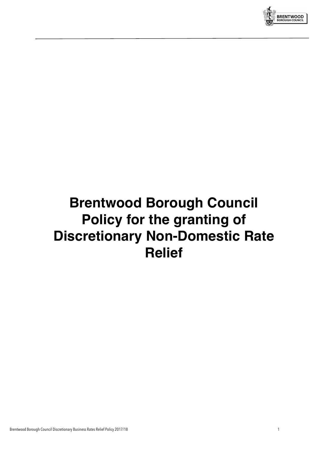

# **Brentwood Borough Council Policy for the granting of Discretionary Non-Domestic Rate Relief**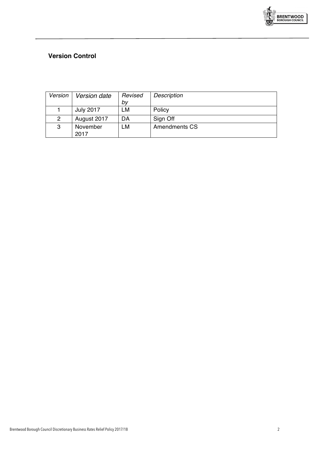

### **Version Control**

| Version        | Version date     | Revised | Description   |
|----------------|------------------|---------|---------------|
|                |                  | bv      |               |
|                | <b>July 2017</b> | LM      | Policy        |
| $\overline{2}$ | August 2017      | DA      | Sign Off      |
| 3              | November         | LM      | Amendments CS |
|                | 2017             |         |               |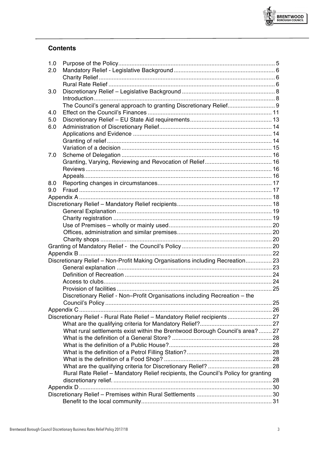

| 1.0 |                                                                                    |  |
|-----|------------------------------------------------------------------------------------|--|
| 2.0 |                                                                                    |  |
|     |                                                                                    |  |
|     |                                                                                    |  |
| 3.0 |                                                                                    |  |
|     |                                                                                    |  |
|     | The Council's general approach to granting Discretionary Relief 9                  |  |
| 4.0 |                                                                                    |  |
| 5.0 |                                                                                    |  |
| 6.0 |                                                                                    |  |
|     |                                                                                    |  |
|     |                                                                                    |  |
|     |                                                                                    |  |
| 7.0 |                                                                                    |  |
|     |                                                                                    |  |
|     |                                                                                    |  |
|     |                                                                                    |  |
| 8.0 |                                                                                    |  |
| 9.0 |                                                                                    |  |
|     |                                                                                    |  |
|     |                                                                                    |  |
|     |                                                                                    |  |
|     |                                                                                    |  |
|     |                                                                                    |  |
|     |                                                                                    |  |
|     |                                                                                    |  |
|     |                                                                                    |  |
|     |                                                                                    |  |
|     | Discretionary Relief - Non-Profit Making Organisations including Recreation 23     |  |
|     |                                                                                    |  |
|     |                                                                                    |  |
|     |                                                                                    |  |
|     |                                                                                    |  |
|     | Discretionary Relief - Non-Profit Organisations including Recreation - the         |  |
|     |                                                                                    |  |
|     |                                                                                    |  |
|     | Discretionary Relief - Rural Rate Relief - Mandatory Relief recipients  27         |  |
|     |                                                                                    |  |
|     |                                                                                    |  |
|     | What rural settlements exist within the Brentwood Borough Council's area?27        |  |
|     |                                                                                    |  |
|     |                                                                                    |  |
|     |                                                                                    |  |
|     |                                                                                    |  |
|     |                                                                                    |  |
|     | Rural Rate Relief - Mandatory Relief recipients, the Council's Policy for granting |  |
|     |                                                                                    |  |
|     |                                                                                    |  |
|     |                                                                                    |  |
|     |                                                                                    |  |

BRENTWOOD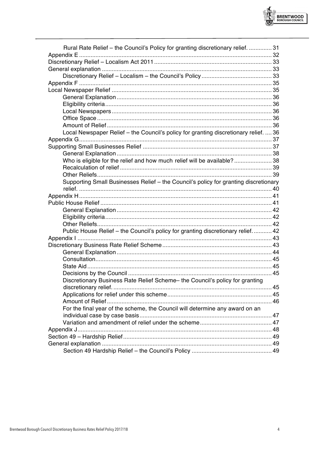

**RENTWOOD**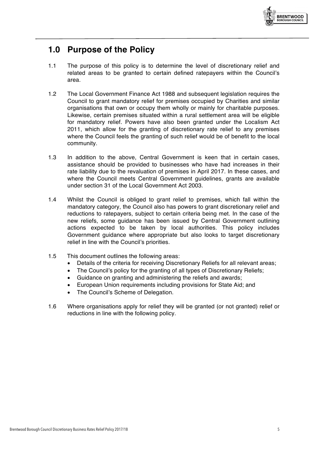

# **1.0 Purpose of the Policy**

- 1.1 The purpose of this policy is to determine the level of discretionary relief and related areas to be granted to certain defined ratepayers within the Council's area.
- 1.2 The Local Government Finance Act 1988 and subsequent legislation requires the Council to grant mandatory relief for premises occupied by Charities and similar organisations that own or occupy them wholly or mainly for charitable purposes. Likewise, certain premises situated within a rural settlement area will be eligible for mandatory relief. Powers have also been granted under the Localism Act 2011, which allow for the granting of discretionary rate relief to any premises where the Council feels the granting of such relief would be of benefit to the local community.
- 1.3 In addition to the above, Central Government is keen that in certain cases, assistance should be provided to businesses who have had increases in their rate liability due to the revaluation of premises in April 2017. In these cases, and where the Council meets Central Government guidelines, grants are available under section 31 of the Local Government Act 2003.
- 1.4 Whilst the Council is obliged to grant relief to premises, which fall within the mandatory category, the Council also has powers to grant discretionary relief and reductions to ratepayers, subject to certain criteria being met. In the case of the new reliefs, some guidance has been issued by Central Government outlining actions expected to be taken by local authorities. This policy includes Government guidance where appropriate but also looks to target discretionary relief in line with the Council's priorities.
- 1.5 This document outlines the following areas:
	- Details of the criteria for receiving Discretionary Reliefs for all relevant areas;
	- The Council's policy for the granting of all types of Discretionary Reliefs;
	- Guidance on granting and administering the reliefs and awards;
	- European Union requirements including provisions for State Aid; and
	- The Council's Scheme of Delegation.
- 1.6 Where organisations apply for relief they will be granted (or not granted) relief or reductions in line with the following policy.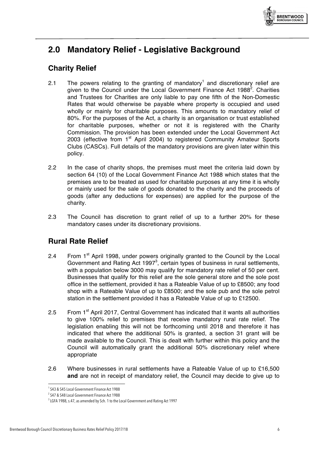

# **2.0 Mandatory Relief - Legislative Background**

# **Charity Relief**

- 2.1 The powers relating to the granting of mandatory<sup>1</sup> and discretionary relief are given to the Council under the Local Government Finance Act 1988 $^2$ . Charities and Trustees for Charities are only liable to pay one fifth of the Non-Domestic Rates that would otherwise be payable where property is occupied and used wholly or mainly for charitable purposes. This amounts to mandatory relief of 80%. For the purposes of the Act, a charity is an organisation or trust established for charitable purposes, whether or not it is registered with the Charity Commission. The provision has been extended under the Local Government Act 2003 (effective from  $1<sup>st</sup>$  April 2004) to registered Community Amateur Sports Clubs (CASCs). Full details of the mandatory provisions are given later within this policy.
- 2.2 In the case of charity shops, the premises must meet the criteria laid down by section 64 (10) of the Local Government Finance Act 1988 which states that the premises are to be treated as used for charitable purposes at any time it is wholly or mainly used for the sale of goods donated to the charity and the proceeds of goods (after any deductions for expenses) are applied for the purpose of the charity.
- 2.3 The Council has discretion to grant relief of up to a further 20% for these mandatory cases under its discretionary provisions.

# **Rural Rate Relief**

- 2.4 From 1<sup>st</sup> April 1998, under powers originally granted to the Council by the Local Government and Rating Act 1997 $3$ , certain types of business in rural settlements, with a population below 3000 may qualify for mandatory rate relief of 50 per cent. Businesses that qualify for this relief are the sole general store and the sole post office in the settlement, provided it has a Rateable Value of up to £8500; any food shop with a Rateable Value of up to £8500; and the sole pub and the sole petrol station in the settlement provided it has a Rateable Value of up to £12500.
- 2.5 From 1<sup>st</sup> April 2017, Central Government has indicated that it wants all authorities to give 100% relief to premises that receive mandatory rural rate relief. The legislation enabling this will not be forthcoming until 2018 and therefore it has indicated that where the additional 50% is granted, a section 31 grant will be made available to the Council. This is dealt with further within this policy and the Council will automatically grant the additional 50% discretionary relief where appropriate
- 2.6 Where businesses in rural settlements have a Rateable Value of up to £16,500 **and** are not in receipt of mandatory relief, the Council may decide to give up to

<sup>&</sup>lt;sup>1</sup> S43 & S45 Local Government Finance Act 1988

<sup>&</sup>lt;sup>2</sup> S47 & S48 Local Government Finance Act 1988

 $^3$  LGFA 1988, s.47, as amended by Sch. 1 to the Local Government and Rating Act 1997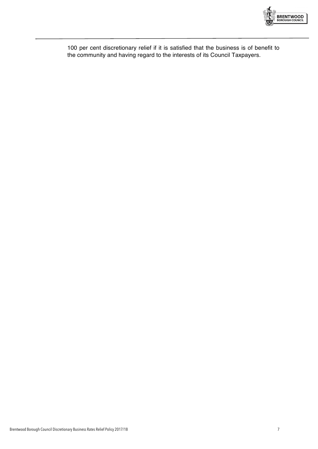

100 per cent discretionary relief if it is satisfied that the business is of benefit to the community and having regard to the interests of its Council Taxpayers.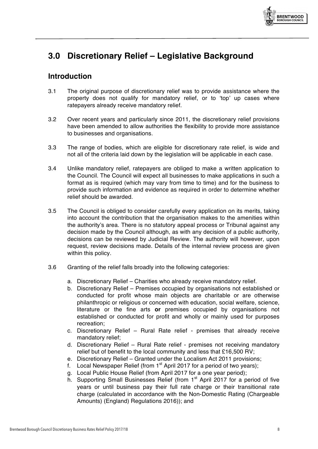

# **3.0 Discretionary Relief – Legislative Background**

# **Introduction**

- 3.1 The original purpose of discretionary relief was to provide assistance where the property does not qualify for mandatory relief, or to 'top' up cases where ratepayers already receive mandatory relief.
- 3.2 Over recent years and particularly since 2011, the discretionary relief provisions have been amended to allow authorities the flexibility to provide more assistance to businesses and organisations.
- 3.3 The range of bodies, which are eligible for discretionary rate relief, is wide and not all of the criteria laid down by the legislation will be applicable in each case.
- 3.4 Unlike mandatory relief, ratepayers are obliged to make a written application to the Council. The Council will expect all businesses to make applications in such a format as is required (which may vary from time to time) and for the business to provide such information and evidence as required in order to determine whether relief should be awarded.
- 3.5 The Council is obliged to consider carefully every application on its merits, taking into account the contribution that the organisation makes to the amenities within the authority's area. There is no statutory appeal process or Tribunal against any decision made by the Council although, as with any decision of a public authority, decisions can be reviewed by Judicial Review. The authority will however, upon request, review decisions made. Details of the internal review process are given within this policy.
- 3.6 Granting of the relief falls broadly into the following categories:
	- a. Discretionary Relief Charities who already receive mandatory relief.
	- b. Discretionary Relief Premises occupied by organisations not established or conducted for profit whose main objects are charitable or are otherwise philanthropic or religious or concerned with education, social welfare, science, literature or the fine arts **or** premises occupied by organisations not established or conducted for profit and wholly or mainly used for purposes recreation;
	- c. Discretionary Relief Rural Rate relief premises that already receive mandatory relief;
	- d. Discretionary Relief Rural Rate relief premises not receiving mandatory relief but of benefit to the local community and less that £16,500 RV;
	- e. Discretionary Relief Granted under the Localism Act 2011 provisions;
	- f. Local Newspaper Relief (from  $1<sup>st</sup>$  April 2017 for a period of two years);
	- g. Local Public House Relief (from April 2017 for a one year period);
	- h. Supporting Small Businesses Relief (from 1<sup>st</sup> April 2017 for a period of five years or until business pay their full rate charge or their transitional rate charge (calculated in accordance with the Non-Domestic Rating (Chargeable Amounts) (England) Regulations 2016)); and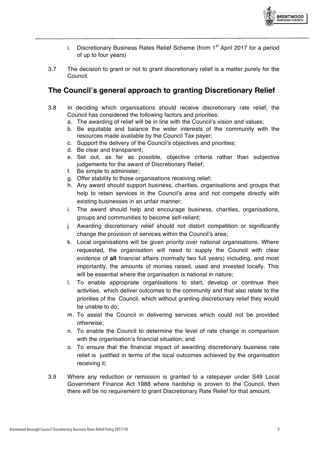

- i. Discretionary Business Rates Relief Scheme (from  $1<sup>st</sup>$  April 2017 for a period of up to four years)
- 3.7 The decision to grant or not to grant discretionary relief is a matter purely for the Council.

# **The Council's general approach to granting Discretionary Relief**

- 3.8 In deciding which organisations should receive discretionary rate relief, the Council has considered the following factors and priorities:
	- a. The awarding of relief will be in line with the Council's vision and values;
	- b. Be equitable and balance the wider interests of the community with the resources made available by the Council Tax payer;
	- c. Support the delivery of the Council's objectives and priorities;
	- d. Be clear and transparent;
	- e. Set out, as far as possible, objective criteria rather than subjective judgements for the award of Discretionary Relief;
	- f. Be simple to administer;
	- g. Offer stability to those organisations receiving relief;
	- h. Any award should support business, charities, organisations and groups that help to retain services in the Council's area and not compete directly with existing businesses in an unfair manner;
	- i. The award should help and encourage business, charities, organisations, groups and communities to become self-reliant;
	- j. Awarding discretionary relief should not distort competition or significantly change the provision of services within the Council's area;
	- k. Local organisations will be given priority over national organisations. Where requested, the organisation will need to supply the Council with clear evidence of **all** financial affairs (normally two full years) including, and most importantly, the amounts of monies raised, used and invested locally. This will be essential where the organisation is national in nature;
	- l. To enable appropriate organisations to start, develop or continue their activities, which deliver outcomes to the community and that also relate to the priorities of the Council, which without granting discretionary relief they would be unable to do;
	- m. To assist the Council in delivering services which could not be provided otherwise;
	- n. To enable the Council to determine the level of rate change in comparison with the organisation's financial situation; and
	- o. To ensure that the financial impact of awarding discretionary business rate relief is justified in terms of the local outcomes achieved by the organisation receiving it;
- 3.9 Where any reduction or remission is granted to a ratepayer under S49 Local Government Finance Act 1988 where hardship is proven to the Council, then there will be no requirement to grant Discretionary Rate Relief for that amount.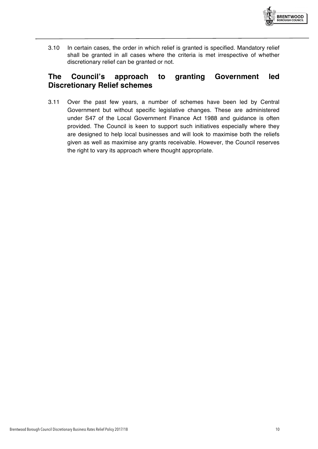

3.10 In certain cases, the order in which relief is granted is specified. Mandatory relief shall be granted in all cases where the criteria is met irrespective of whether discretionary relief can be granted or not.

### **The Council's approach to granting Government led Discretionary Relief schemes**

3.11 Over the past few years, a number of schemes have been led by Central Government but without specific legislative changes. These are administered under S47 of the Local Government Finance Act 1988 and guidance is often provided. The Council is keen to support such initiatives especially where they are designed to help local businesses and will look to maximise both the reliefs given as well as maximise any grants receivable. However, the Council reserves the right to vary its approach where thought appropriate.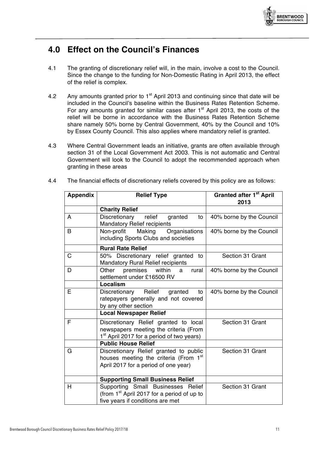

# **4.0 Effect on the Council's Finances**

- 4.1 The granting of discretionary relief will, in the main, involve a cost to the Council. Since the change to the funding for Non-Domestic Rating in April 2013, the effect of the relief is complex.
- 4.2 Any amounts granted prior to  $1<sup>st</sup>$  April 2013 and continuing since that date will be included in the Council's baseline within the Business Rates Retention Scheme. For any amounts granted for similar cases after  $1<sup>st</sup>$  April 2013, the costs of the relief will be borne in accordance with the Business Rates Retention Scheme share namely 50% borne by Central Government, 40% by the Council and 10% by Essex County Council. This also applies where mandatory relief is granted.
- 4.3 Where Central Government leads an initiative, grants are often available through section 31 of the Local Government Act 2003. This is not automatic and Central Government will look to the Council to adopt the recommended approach when granting in these areas

| <b>Appendix</b> | <b>Relief Type</b>                                                                                                                      | <b>Granted after 1st April</b><br>2013 |  |
|-----------------|-----------------------------------------------------------------------------------------------------------------------------------------|----------------------------------------|--|
|                 | <b>Charity Relief</b>                                                                                                                   |                                        |  |
| A               | Discretionary<br>relief<br>granted<br>to<br><b>Mandatory Relief recipients</b>                                                          | 40% borne by the Council               |  |
| B               | Non-profit<br>Making<br>Organisations<br>including Sports Clubs and societies                                                           | 40% borne by the Council               |  |
|                 | <b>Rural Rate Relief</b>                                                                                                                |                                        |  |
| C               | 50% Discretionary relief granted to<br><b>Mandatory Rural Relief recipients</b>                                                         | Section 31 Grant                       |  |
| D               | premises<br>Other<br>within<br>rural<br>a<br>settlement under £16500 RV                                                                 | 40% borne by the Council               |  |
|                 | Localism                                                                                                                                |                                        |  |
| E               | Discretionary Relief<br>granted<br>to<br>ratepayers generally and not covered<br>by any other section                                   | 40% borne by the Council               |  |
|                 | <b>Local Newspaper Relief</b>                                                                                                           |                                        |  |
| F               | Discretionary Relief granted to local<br>newspapers meeting the criteria (From<br>1 <sup>st</sup> April 2017 for a period of two years) | Section 31 Grant                       |  |
|                 | <b>Public House Relief</b>                                                                                                              |                                        |  |
| G               | Discretionary Relief granted to public<br>houses meeting the criteria (From 1 <sup>st</sup><br>April 2017 for a period of one year)     | Section 31 Grant                       |  |
|                 | <b>Supporting Small Business Relief</b>                                                                                                 |                                        |  |
| H               | Supporting Small Businesses Relief<br>(from 1 <sup>st</sup> April 2017 for a period of up to<br>five years if conditions are met        | Section 31 Grant                       |  |

4.4 The financial effects of discretionary reliefs covered by this policy are as follows: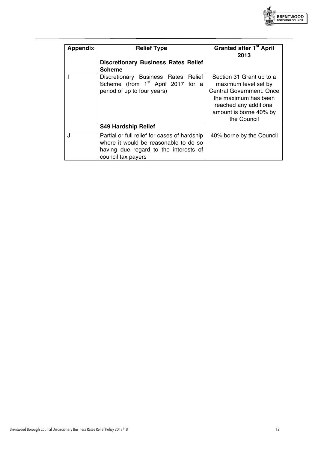

| <b>Appendix</b> | <b>Relief Type</b>                                                                                                                                   | <b>Granted after 1st April</b><br>2013                                                                                                                                  |  |
|-----------------|------------------------------------------------------------------------------------------------------------------------------------------------------|-------------------------------------------------------------------------------------------------------------------------------------------------------------------------|--|
|                 | <b>Discretionary Business Rates Relief</b><br><b>Scheme</b>                                                                                          |                                                                                                                                                                         |  |
|                 | Discretionary Business Rates Relief<br>Scheme (from 1 <sup>st</sup> April 2017 for a<br>period of up to four years)                                  | Section 31 Grant up to a<br>maximum level set by<br>Central Government. Once<br>the maximum has been<br>reached any additional<br>amount is borne 40% by<br>the Council |  |
|                 | <b>S49 Hardship Relief</b>                                                                                                                           |                                                                                                                                                                         |  |
|                 | Partial or full relief for cases of hardship<br>where it would be reasonable to do so<br>having due regard to the interests of<br>council tax payers | 40% borne by the Council                                                                                                                                                |  |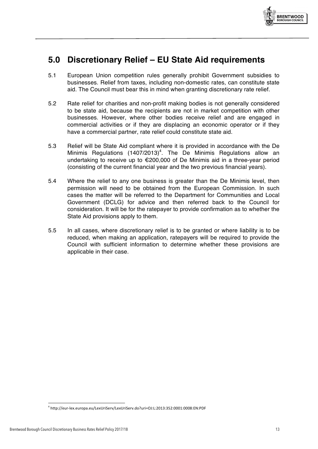

# **5.0 Discretionary Relief – EU State Aid requirements**

- 5.1 European Union competition rules generally prohibit Government subsidies to businesses. Relief from taxes, including non-domestic rates, can constitute state aid. The Council must bear this in mind when granting discretionary rate relief.
- 5.2 Rate relief for charities and non-profit making bodies is not generally considered to be state aid, because the recipients are not in market competition with other businesses. However, where other bodies receive relief and are engaged in commercial activities or if they are displacing an economic operator or if they have a commercial partner, rate relief could constitute state aid.
- 5.3 Relief will be State Aid compliant where it is provided in accordance with the De Minimis Regulations  $(1407/2013)^4$ . The De Minimis Regulations allow an undertaking to receive up to €200,000 of De Minimis aid in a three-year period (consisting of the current financial year and the two previous financial years).
- 5.4 Where the relief to any one business is greater than the De Minimis level, then permission will need to be obtained from the European Commission. In such cases the matter will be referred to the Department for Communities and Local Government (DCLG) for advice and then referred back to the Council for consideration. It will be for the ratepayer to provide confirmation as to whether the State Aid provisions apply to them.
- 5.5 In all cases, where discretionary relief is to be granted or where liability is to be reduced, when making an application, ratepayers will be required to provide the Council with sufficient information to determine whether these provisions are applicable in their case.

<sup>4</sup> http://eur-lex.europa.eu/LexUriServ/LexUriServ.do?uri=OJ:L:2013:352:0001:0008:EN:PDF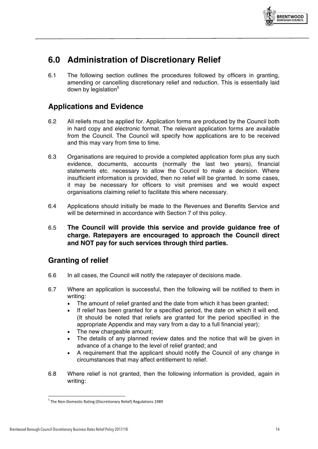

# **6.0 Administration of Discretionary Relief**

6.1 The following section outlines the procedures followed by officers in granting, amending or cancelling discretionary relief and reduction. This is essentially laid down by legislation $5$ 

# **Applications and Evidence**

- 6.2 All reliefs must be applied for. Application forms are produced by the Council both in hard copy and electronic format. The relevant application forms are available from the Council. The Council will specify how applications are to be received and this may vary from time to time.
- 6.3 Organisations are required to provide a completed application form plus any such evidence, documents, accounts (normally the last two years), financial statements etc. necessary to allow the Council to make a decision. Where insufficient information is provided, then no relief will be granted. In some cases, it may be necessary for officers to visit premises and we would expect organisations claiming relief to facilitate this where necessary.
- 6.4 Applications should initially be made to the Revenues and Benefits Service and will be determined in accordance with Section 7 of this policy.
- 6.5 **The Council will provide this service and provide guidance free of charge. Ratepayers are encouraged to approach the Council direct and NOT pay for such services through third parties.**

### **Granting of relief**

- 6.6 In all cases, the Council will notify the ratepayer of decisions made.
- 6.7 Where an application is successful, then the following will be notified to them in writing:
	- The amount of relief granted and the date from which it has been granted;
	- If relief has been granted for a specified period, the date on which it will end. (It should be noted that reliefs are granted for the period specified in the appropriate Appendix and may vary from a day to a full financial year);
	- The new chargeable amount:
	- The details of any planned review dates and the notice that will be given in advance of a change to the level of relief granted; and
	- A requirement that the applicant should notify the Council of any change in circumstances that may affect entitlement to relief.
- 6.8 Where relief is not granted, then the following information is provided, again in writing:

 $5$  The Non-Domestic Rating (Discretionary Relief) Regulations 1989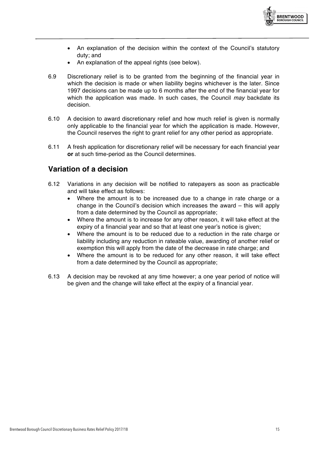

- An explanation of the decision within the context of the Council's statutory duty; and
- An explanation of the appeal rights (see below).
- 6.9 Discretionary relief is to be granted from the beginning of the financial year in which the decision is made or when liability begins whichever is the later. Since 1997 decisions can be made up to 6 months after the end of the financial year for which the application was made. In such cases, the Council *may* backdate its decision.
- 6.10 A decision to award discretionary relief and how much relief is given is normally only applicable to the financial year for which the application is made. However, the Council reserves the right to grant relief for any other period as appropriate.
- 6.11 A fresh application for discretionary relief will be necessary for each financial year **or** at such time-period as the Council determines.

### **Variation of a decision**

- 6.12 Variations in any decision will be notified to ratepayers as soon as practicable and will take effect as follows:
	- Where the amount is to be increased due to a change in rate charge or a change in the Council's decision which increases the award – this will apply from a date determined by the Council as appropriate;
	- Where the amount is to increase for any other reason, it will take effect at the expiry of a financial year and so that at least one year's notice is given;
	- Where the amount is to be reduced due to a reduction in the rate charge or liability including any reduction in rateable value, awarding of another relief or exemption this will apply from the date of the decrease in rate charge; and
	- Where the amount is to be reduced for any other reason, it will take effect from a date determined by the Council as appropriate;
- 6.13 A decision may be revoked at any time however; a one year period of notice will be given and the change will take effect at the expiry of a financial year.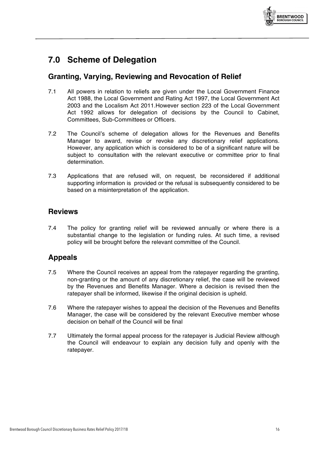

# **7.0 Scheme of Delegation**

### **Granting, Varying, Reviewing and Revocation of Relief**

- 7.1 All powers in relation to reliefs are given under the Local Government Finance Act 1988, the Local Government and Rating Act 1997, the Local Government Act 2003 and the Localism Act 2011.However section 223 of the Local Government Act 1992 allows for delegation of decisions by the Council to Cabinet, Committees, Sub-Committees or Officers.
- 7.2 The Council's scheme of delegation allows for the Revenues and Benefits Manager to award, revise or revoke any discretionary relief applications. However, any application which is considered to be of a significant nature will be subject to consultation with the relevant executive or committee prior to final determination.
- 7.3 Applications that are refused will, on request, be reconsidered if additional supporting information is provided or the refusal is subsequently considered to be based on a misinterpretation of the application.

### **Reviews**

7.4 The policy for granting relief will be reviewed annually or where there is a substantial change to the legislation or funding rules. At such time, a revised policy will be brought before the relevant committee of the Council.

### **Appeals**

- 7.5 Where the Council receives an appeal from the ratepayer regarding the granting, non-granting or the amount of any discretionary relief, the case will be reviewed by the Revenues and Benefits Manager. Where a decision is revised then the ratepayer shall be informed, likewise if the original decision is upheld.
- 7.6 Where the ratepayer wishes to appeal the decision of the Revenues and Benefits Manager, the case will be considered by the relevant Executive member whose decision on behalf of the Council will be final
- 7.7 Ultimately the formal appeal process for the ratepayer is Judicial Review although the Council will endeavour to explain any decision fully and openly with the ratepayer.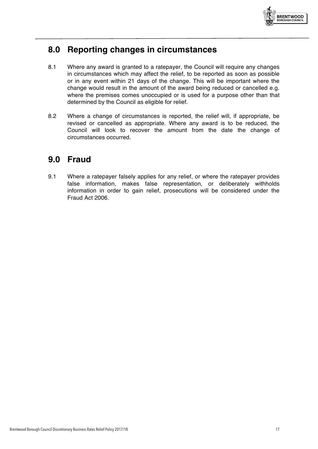

# **8.0 Reporting changes in circumstances**

- 8.1 Where any award is granted to a ratepayer, the Council will require any changes in circumstances which may affect the relief, to be reported as soon as possible or in any event within 21 days of the change. This will be important where the change would result in the amount of the award being reduced or cancelled e.g. where the premises comes unoccupied or is used for a purpose other than that determined by the Council as eligible for relief.
- 8.2 Where a change of circumstances is reported, the relief will, if appropriate, be revised or cancelled as appropriate. Where any award is to be reduced, the Council will look to recover the amount from the date the change of circumstances occurred.

# **9.0 Fraud**

9.1 Where a ratepayer falsely applies for any relief, or where the ratepayer provides false information, makes false representation, or deliberately withholds information in order to gain relief, prosecutions will be considered under the Fraud Act 2006.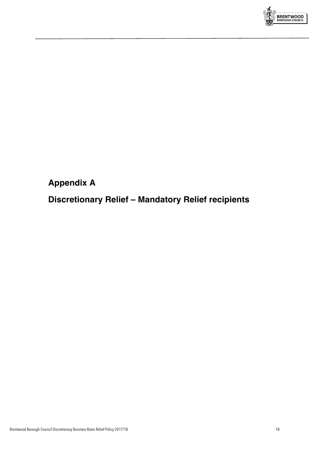

# **Appendix A**

**Discretionary Relief – Mandatory Relief recipients**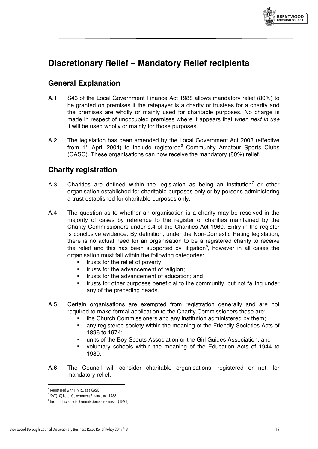

# **Discretionary Relief – Mandatory Relief recipients**

# **General Explanation**

- A.1 S43 of the Local Government Finance Act 1988 allows mandatory relief (80%) to be granted on premises if the ratepayer is a charity or trustees for a charity and the premises are wholly or mainly used for charitable purposes. No charge is made in respect of unoccupied premises where it appears that *when next in use* it will be used wholly or mainly for those purposes.
- A.2 The legislation has been amended by the Local Government Act 2003 (effective from  $1<sup>st</sup>$  April 2004) to include registered<sup>6</sup> Community Amateur Sports Clubs (CASC). These organisations can now receive the mandatory (80%) relief.

# **Charity registration**

- A.3 Charities are defined within the legislation as being an institution<sup>7</sup> or other organisation established for charitable purposes only or by persons administering a trust established for charitable purposes only.
- A.4 The question as to whether an organisation is a charity may be resolved in the majority of cases by reference to the register of charities maintained by the Charity Commissioners under s.4 of the Charities Act 1960. Entry in the register is conclusive evidence. By definition, under the Non-Domestic Rating legislation, there is no actual need for an organisation to be a registered charity to receive the relief and this has been supported by litigation<sup>8</sup>, however in all cases the organisation must fall within the following categories:
	- trusts for the relief of poverty;
	- **■** trusts for the advancement of religion;
	- trusts for the advancement of education; and
	- trusts for other purposes beneficial to the community, but not falling under any of the preceding heads.
- A.5 Certain organisations are exempted from registration generally and are not required to make formal application to the Charity Commissioners these are:
	- the Church Commissioners and any institution administered by them;
	- § any registered society within the meaning of the Friendly Societies Acts of 1896 to 1974;
	- units of the Boy Scouts Association or the Girl Guides Association; and
	- § voluntary schools within the meaning of the Education Acts of 1944 to 1980.
- A.6 The Council will consider charitable organisations, registered or not, for mandatory relief.

 $\overline{a}$ 6 Registered with HMRC as a CASC

<sup>&</sup>lt;sup>7</sup> S67(10) Local Government Finance Act 1988

<sup>8</sup> Income Tax Special Commissioners v Pemsell (1891)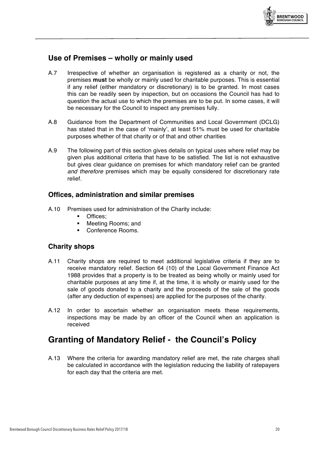

# **Use of Premises – wholly or mainly used**

- A.7 Irrespective of whether an organisation is registered as a charity or not, the premises **must** be wholly or mainly used for charitable purposes. This is essential if any relief (either mandatory or discretionary) is to be granted. In most cases this can be readily seen by inspection, but on occasions the Council has had to question the actual use to which the premises are to be put. In some cases, it will be necessary for the Council to inspect any premises fully.
- A.8 Guidance from the Department of Communities and Local Government (DCLG) has stated that in the case of 'mainly', at least 51% must be used for charitable purposes whether of that charity or of that and other charities
- A.9 The following part of this section gives details on typical uses where relief may be given plus additional criteria that have to be satisfied. The list is not exhaustive but gives clear guidance on premises for which mandatory relief can be granted *and therefore* premises which may be equally considered for discretionary rate relief.

#### **Offices, administration and similar premises**

- A.10 Premises used for administration of the Charity include:
	- Offices;
	- § Meeting Rooms; and
	- § Conference Rooms.

#### **Charity shops**

- A.11 Charity shops are required to meet additional legislative criteria if they are to receive mandatory relief. Section 64 (10) of the Local Government Finance Act 1988 provides that a property is to be treated as being wholly or mainly used for charitable purposes at any time if, at the time, it is wholly or mainly used for the sale of goods donated to a charity and the proceeds of the sale of the goods (after any deduction of expenses) are applied for the purposes of the charity.
- A.12 In order to ascertain whether an organisation meets these requirements, inspections may be made by an officer of the Council when an application is received

# **Granting of Mandatory Relief - the Council's Policy**

A.13 Where the criteria for awarding mandatory relief are met, the rate charges shall be calculated in accordance with the legislation reducing the liability of ratepayers for each day that the criteria are met.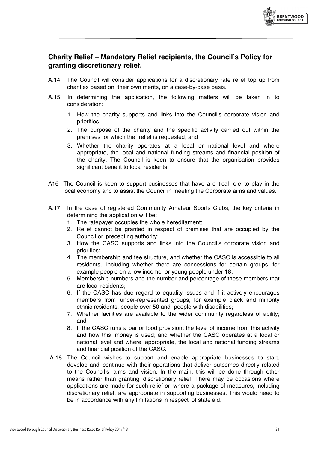

#### **Charity Relief – Mandatory Relief recipients, the Council's Policy for granting discretionary relief.**

- A.14 The Council will consider applications for a discretionary rate relief top up from charities based on their own merits, on a case-by-case basis.
- A.15 In determining the application, the following matters will be taken in to consideration:
	- 1. How the charity supports and links into the Council's corporate vision and priorities;
	- 2. The purpose of the charity and the specific activity carried out within the premises for which the relief is requested; and
	- 3. Whether the charity operates at a local or national level and where appropriate, the local and national funding streams and financial position of the charity. The Council is keen to ensure that the organisation provides significant benefit to local residents.
- A16 The Council is keen to support businesses that have a critical role to play in the local economy and to assist the Council in meeting the Corporate aims and values.
- A.17 In the case of registered Community Amateur Sports Clubs, the key criteria in determining the application will be:
	- 1. The ratepayer occupies the whole hereditament;
	- 2. Relief cannot be granted in respect of premises that are occupied by the Council or precepting authority;
	- 3. How the CASC supports and links into the Council's corporate vision and priorities;
	- 4. The membership and fee structure, and whether the CASC is accessible to all residents, including whether there are concessions for certain groups, for example people on a low income or young people under 18;
	- 5. Membership numbers and the number and percentage of these members that are local residents;
	- 6. If the CASC has due regard to equality issues and if it actively encourages members from under-represented groups, for example black and minority ethnic residents, people over 50 and people with disabilities;
	- 7. Whether facilities are available to the wider community regardless of ability; and
	- 8. If the CASC runs a bar or food provision: the level of income from this activity and how this money is used; and whether the CASC operates at a local or national level and where appropriate, the local and national funding streams and financial position of the CASC.
- A.18 The Council wishes to support and enable appropriate businesses to start, develop and continue with their operations that deliver outcomes directly related to the Council's aims and vision. In the main, this will be done through other means rather than granting discretionary relief. There may be occasions where applications are made for such relief or where a package of measures, including discretionary relief, are appropriate in supporting businesses. This would need to be in accordance with any limitations in respect of state aid.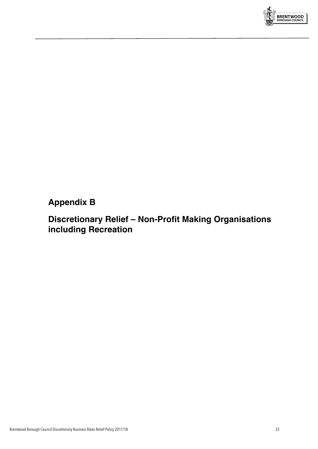

# **Appendix B**

# **Discretionary Relief – Non-Profit Making Organisations including Recreation**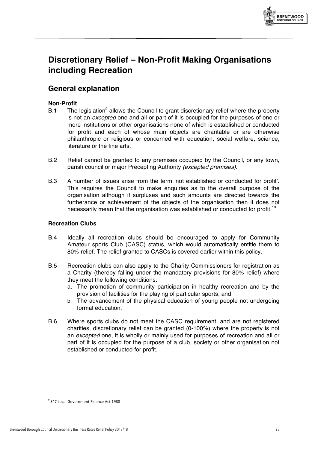

# **Discretionary Relief – Non-Profit Making Organisations including Recreation**

# **General explanation**

#### **Non-Profit**

- B.1 The legislation<sup>9</sup> allows the Council to grant discretionary relief where the property is not an *excepted* one and all or part of it is occupied for the purposes of one or more institutions or other organisations none of which is established or conducted for profit and each of whose main objects are charitable or are otherwise philanthropic or religious or concerned with education, social welfare, science, literature or the fine arts.
- B.2 Relief cannot be granted to any premises occupied by the Council, or any town, parish council or major Precepting Authority *(excepted premises).*
- B.3 A number of issues arise from the term 'not established or conducted for profit'. This requires the Council to make enquiries as to the overall purpose of the organisation although if surpluses and such amounts are directed towards the furtherance or achievement of the objects of the organisation then it does not necessarily mean that the organisation was established or conducted for profit.<sup>10</sup>

#### **Recreation Clubs**

- B.4 Ideally all recreation clubs should be encouraged to apply for Community Amateur sports Club (CASC) status, which would automatically entitle them to 80% relief. The relief granted to CASCs is covered earlier within this policy.
- B.5 Recreation clubs can also apply to the Charity Commissioners for registration as a Charity (thereby falling under the mandatory provisions for 80% relief) where they meet the following conditions:
	- a. The promotion of community participation in healthy recreation and by the provision of facilities for the playing of particular sports; and
	- b. The advancement of the physical education of young people not undergoing formal education.
- B.6 Where sports clubs do not meet the CASC requirement, and are not registered charities, discretionary relief can be granted (0-100%) where the property is not an *excepted* one, it is wholly or mainly used for purposes of recreation and all or part of it is occupied for the purpose of a club, society or other organisation not established or conducted for profit.

<sup>&</sup>lt;sup>9</sup> S47 Local Government Finance Act 1988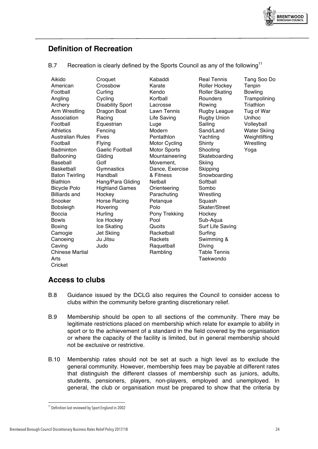

# **Definition of Recreation**

#### B.7 Recreation is clearly defined by the Sports Council as any of the following<sup>11</sup>

| Aikido                  | Croquet                 | Kabaddi              |
|-------------------------|-------------------------|----------------------|
| American                | Crossbow                | Karate               |
| Football                | Curling                 | Kendo                |
| Angling                 | Cycling                 | Korfball             |
| Archery                 | <b>Disability Sport</b> | Lacrosse             |
| Arm Wrestling           | Dragon Boat             | Lawn Tennis          |
| Association             | Racing                  | Life Saving          |
| Football                | Equestrian              | Luge                 |
| <b>Athletics</b>        | Fencing                 | Modern               |
| <b>Australian Rules</b> | <b>Fives</b>            | Pentathlon           |
| Football                | Flying                  | <b>Motor Cycling</b> |
| <b>Badminton</b>        | <b>Gaelic Football</b>  | Motor Sports         |
| Ballooning              | Gliding                 | Mountaineering       |
| Baseball                | Golf                    | Movement,            |
| Basketball              | Gymnastics              | Dance, Exercise      |
| <b>Baton Twirling</b>   | Handball                | & Fitness            |
| <b>Biathlon</b>         | Hang/Para Gliding       | Netball              |
| <b>Bicycle Polo</b>     | <b>Highland Games</b>   | Orienteering         |
| <b>Billiards and</b>    | Hockey                  | Parachuting          |
| Snooker                 | <b>Horse Racing</b>     | Petanque             |
| Bobsleigh               | Hovering                | Polo                 |
| Boccia                  | Hurling                 | Pony Trekking        |
| <b>Bowls</b>            | Ice Hockey              | Pool                 |
| Boxing                  | Ice Skating             | Quoits               |
| Camogie                 | <b>Jet Skiing</b>       | Racketball           |
| Canoeing                | Ju Jitsu                | Rackets              |
| Caving                  | Judo                    | Raquetball           |
| <b>Chinese Martial</b>  |                         | Rambling             |
| Arts                    |                         |                      |
| Cricket                 |                         |                      |

Real Tennis Roller Hockey Roller Skating **Rounders** Rowing Rugby League Rugby Union Sailing Sand/Land Yachting **Shinty** Shooting Skateboarding **Skiing Skipping** Snowboarding **Softball** Sombo **Wrestling** Squash Skater/Street **Hockey** Sub-Aqua Surf Life Saving Surfing Swimming & Diving Table Tennis Taekwondo

Tang Soo Do **Tenpin** Bowling **Trampolining Triathlon** Tug of War Unihoc Volleyball Water Skiing **Weightlifting Wrestling** Yoga

# **Access to clubs**

- B.8 Guidance issued by the DCLG also requires the Council to consider access to clubs within the community before granting discretionary relief.
- B.9 Membership should be open to all sections of the community. There may be legitimate restrictions placed on membership which relate for example to ability in sport or to the achievement of a standard in the field covered by the organisation or where the capacity of the facility is limited, but in general membership should not be exclusive or restrictive.
- B.10 Membership rates should not be set at such a high level as to exclude the general community. However, membership fees may be payable at different rates that distinguish the different classes of membership such as juniors, adults, students, pensioners, players, non-players, employed and unemployed. In general, the club or organisation must be prepared to show that the criteria by

 $\overline{a}$ 

<sup>&</sup>lt;sup>11</sup> Definition last reviewed by Sport England in 2002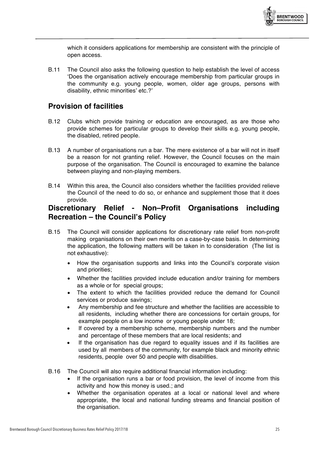

which it considers applications for membership are consistent with the principle of open access.

B.11 The Council also asks the following question to help establish the level of access 'Does the organisation actively encourage membership from particular groups in the community e.g. young people, women, older age groups, persons with disability, ethnic minorities' etc.?'

#### **Provision of facilities**

- B.12 Clubs which provide training or education are encouraged, as are those who provide schemes for particular groups to develop their skills e.g. young people, the disabled, retired people.
- B.13 A number of organisations run a bar. The mere existence of a bar will not in itself be a reason for not granting relief. However, the Council focuses on the main purpose of the organisation. The Council is encouraged to examine the balance between playing and non-playing members.
- B.14 Within this area, the Council also considers whether the facilities provided relieve the Council of the need to do so, or enhance and supplement those that it does provide.

### **Discretionary Relief - Non–Profit Organisations including Recreation – the Council's Policy**

- B.15 The Council will consider applications for discretionary rate relief from non-profit making organisations on their own merits on a case-by-case basis. In determining the application, the following matters will be taken in to consideration (The list is not exhaustive):
	- How the organisation supports and links into the Council's corporate vision and priorities;
	- Whether the facilities provided include education and/or training for members as a whole or for special groups;
	- The extent to which the facilities provided reduce the demand for Council services or produce savings;
	- Any membership and fee structure and whether the facilities are accessible to all residents, including whether there are concessions for certain groups, for example people on a low income or young people under 18;
	- If covered by a membership scheme, membership numbers and the number and percentage of these members that are local residents; and
	- If the organisation has due regard to equality issues and if its facilities are used by all members of the community, for example black and minority ethnic residents, people over 50 and people with disabilities.
- B.16 The Council will also require additional financial information including:
	- If the organisation runs a bar or food provision, the level of income from this activity and how this money is used.; and
	- Whether the organisation operates at a local or national level and where appropriate, the local and national funding streams and financial position of the organisation.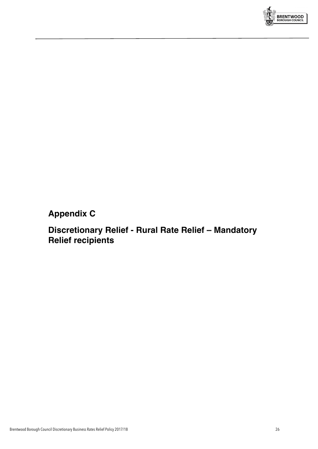

# **Appendix C**

# **Discretionary Relief - Rural Rate Relief – Mandatory Relief recipients**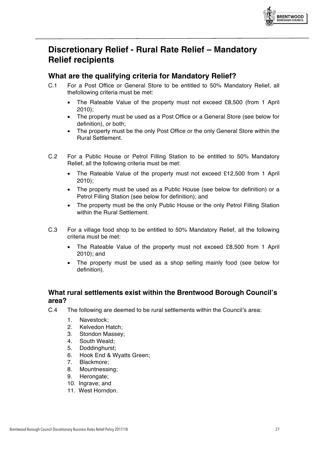

# **Discretionary Relief - Rural Rate Relief – Mandatory Relief recipients**

# **What are the qualifying criteria for Mandatory Relief?**

- C.1 For a Post Office or General Store to be entitled to 50% Mandatory Relief, all thefollowing criteria must be met:
	- The Rateable Value of the property must not exceed £8,500 (from 1 April 2010);
	- The property must be used as a Post Office or a General Store (see below for definition), or both;
	- The property must be the only Post Office or the only General Store within the Rural Settlement.
- C.2 For a Public House or Petrol Filling Station to be entitled to 50% Mandatory Relief, all the following criteria must be met:
	- The Rateable Value of the property must not exceed £12,500 from 1 April 2010);
	- The property must be used as a Public House (see below for definition) or a Petrol Filling Station (see below for definition); and
	- The property must be the only Public House or the only Petrol Filling Station within the Rural Settlement.
- C.3 For a village food shop to be entitled to 50% Mandatory Relief, all the following criteria must be met:
	- The Rateable Value of the property must not exceed £8,500 from 1 April 2010); and
	- The property must be used as a shop selling mainly food (see below for definition).

### **What rural settlements exist within the Brentwood Borough Council's area?**

- C.4 The following are deemed to be rural settlements within the Council's area:
	- 1. Navestock;
	- 2. Kelvedon Hatch;
	- 3. Stondon Massey;
	- 4. South Weald;
	- 5. Doddinghurst;
	- 6. Hook End & Wyatts Green;
	- 7. Blackmore;
	- 8. Mountnessing;
	- 9. Herongate;
	- 10. Ingrave; and
	- 11. West Horndon.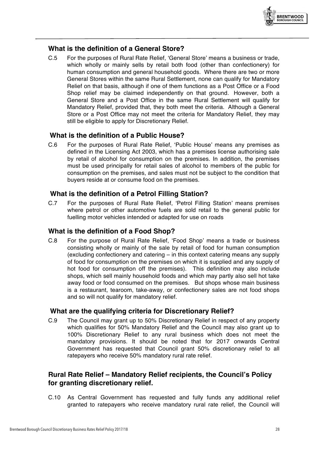

#### **What is the definition of a General Store?**

C.5 For the purposes of Rural Rate Relief, 'General Store' means a business or trade, which wholly or mainly sells by retail both food (other than confectionery) for human consumption and general household goods. Where there are two or more General Stores within the same Rural Settlement, none can qualify for Mandatory Relief on that basis, although if one of them functions as a Post Office or a Food Shop relief may be claimed independently on that ground. However, both a General Store and a Post Office in the same Rural Settlement will qualify for Mandatory Relief, provided that, they both meet the criteria. Although a General Store or a Post Office may not meet the criteria for Mandatory Relief, they may still be eligible to apply for Discretionary Relief.

#### **What is the definition of a Public House?**

C.6 For the purposes of Rural Rate Relief, 'Public House' means any premises as defined in the Licensing Act 2003, which has a premises license authorising sale by retail of alcohol for consumption on the premises. In addition, the premises must be used principally for retail sales of alcohol to members of the public for consumption on the premises, and sales must not be subject to the condition that buyers reside at or consume food on the premises.

#### **What is the definition of a Petrol Filling Station?**

C.7 For the purposes of Rural Rate Relief, 'Petrol Filling Station' means premises where petrol or other automotive fuels are sold retail to the general public for fuelling motor vehicles intended or adapted for use on roads

#### **What is the definition of a Food Shop?**

C.8 For the purpose of Rural Rate Relief, 'Food Shop' means a trade or business consisting wholly or mainly of the sale by retail of food for human consumption (excluding confectionery and catering – in this context catering means any supply of food for consumption on the premises on which it is supplied and any supply of hot food for consumption off the premises). This definition may also include shops, which sell mainly household foods and which may partly also sell hot take away food or food consumed on the premises. But shops whose main business is a restaurant, tearoom, take-away, or confectionery sales are not food shops and so will not qualify for mandatory relief.

#### **What are the qualifying criteria for Discretionary Relief?**

C.9 The Council may grant up to 50% Discretionary Relief in respect of any property which qualifies for 50% Mandatory Relief and the Council may also grant up to 100% Discretionary Relief to any rural business which does not meet the mandatory provisions. It should be noted that for 2017 onwards Central Government has requested that Council grant 50% discretionary relief to all ratepayers who receive 50% mandatory rural rate relief.

#### **Rural Rate Relief – Mandatory Relief recipients, the Council's Policy for granting discretionary relief.**

C.10 As Central Government has requested and fully funds any additional relief granted to ratepayers who receive mandatory rural rate relief, the Council will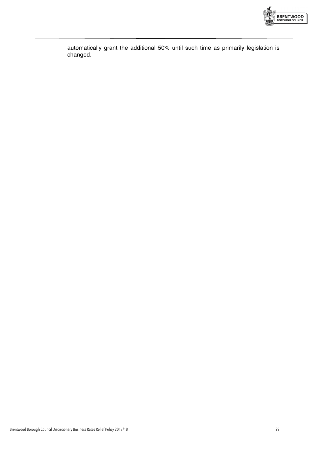

automatically grant the additional 50% until such time as primarily legislation is changed.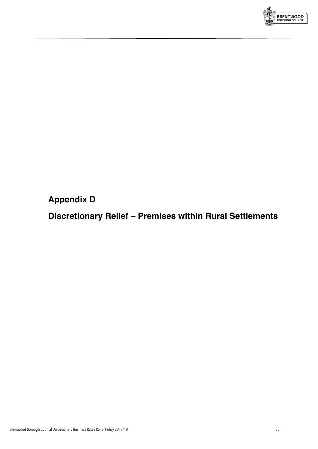

**Appendix D**

**Discretionary Relief – Premises within Rural Settlements**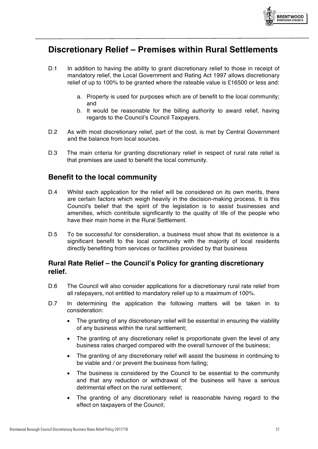

# **Discretionary Relief – Premises within Rural Settlements**

- D.1 In addition to having the ability to grant discretionary relief to those in receipt of mandatory relief, the Local Government and Rating Act 1997 allows discretionary relief of up to 100% to be granted where the rateable value is £16500 or less and:
	- a. Property is used for purposes which are of benefit to the local community; and
	- b. It would be reasonable for the billing authority to award relief, having regards to the Council's Council Taxpayers.
- D.2 As with most discretionary relief, part of the cost, is met by Central Government and the balance from local sources.
- D.3 The main criteria for granting discretionary relief in respect of rural rate relief is that premises are used to benefit the local community.

#### **Benefit to the local community**

- D.4 Whilst each application for the relief will be considered on its own merits, there are certain factors which weigh heavily in the decision-making process. It is this Council's belief that the spirit of the legislation is to assist businesses and amenities, which contribute significantly to the quality of life of the people who have their main home in the Rural Settlement.
- D.5 To be successful for consideration, a business must show that its existence is a significant benefit to the local community with the majority of local residents directly benefiting from services or facilities provided by that business

#### **Rural Rate Relief – the Council's Policy for granting discretionary relief.**

- D.6 The Council will also consider applications for a discretionary rural rate relief from all ratepayers, not entitled to mandatory relief up to a maximum of 100%.
- D.7 In determining the application the following matters will be taken in to consideration:
	- The granting of any discretionary relief will be essential in ensuring the viability of any business within the rural settlement;
	- The granting of any discretionary relief is proportionate given the level of any business rates charged compared with the overall turnover of the business;
	- The granting of any discretionary relief will assist the business in continuing to be viable and / or prevent the business from failing;
	- The business is considered by the Council to be essential to the community and that any reduction or withdrawal of the business will have a serious detrimental effect on the rural settlement;
	- The granting of any discretionary relief is reasonable having regard to the effect on taxpayers of the Council;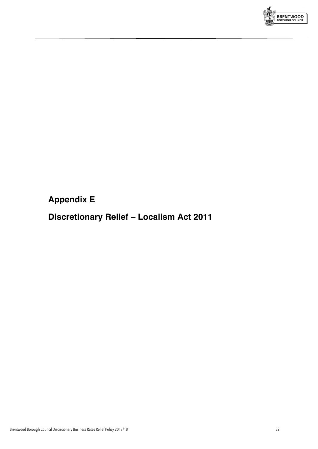

# **Appendix E**

# **Discretionary Relief – Localism Act 2011**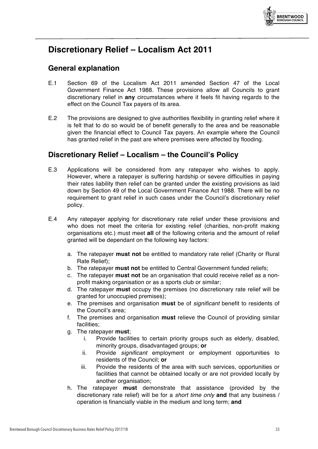

# **Discretionary Relief – Localism Act 2011**

### **General explanation**

- E.1 Section 69 of the Localism Act 2011 amended Section 47 of the Local Government Finance Act 1988. These provisions allow all Councils to grant discretionary relief in **any** circumstances where it feels fit having regards to the effect on the Council Tax payers of its area.
- E.2 The provisions are designed to give authorities flexibility in granting relief where it is felt that to do so would be of benefit generally to the area and be reasonable given the financial effect to Council Tax payers. An example where the Council has granted relief in the past are where premises were affected by flooding.

### **Discretionary Relief – Localism – the Council's Policy**

- E.3 Applications will be considered from any ratepayer who wishes to apply. However, where a ratepayer is suffering hardship or severe difficulties in paying their rates liability then relief can be granted under the existing provisions as laid down by Section 49 of the Local Government Finance Act 1988. There will be no requirement to grant relief in such cases under the Council's discretionary relief policy.
- E.4 Any ratepayer applying for discretionary rate relief under these provisions and who does not meet the criteria for existing relief (charities, non-profit making organisations etc.) must meet **all** of the following criteria and the amount of relief granted will be dependant on the following key factors:
	- a. The ratepayer **must not** be entitled to mandatory rate relief (Charity or Rural Rate Relief);
	- b. The ratepayer **must not** be entitled to Central Government funded reliefs;
	- c. The ratepayer **must not** be an organisation that could receive relief as a nonprofit making organisation or as a sports club or similar;
	- d. The ratepayer **must** occupy the premises (no discretionary rate relief will be granted for unoccupied premises);
	- e. The premises and organisation **must** be of *significant* benefit to residents of the Council's area;
	- f. The premises and organisation **must** relieve the Council of providing similar facilities;
	- g. The ratepayer **must**;
		- i. Provide facilities to certain priority groups such as elderly, disabled, minority groups, disadvantaged groups; **or**
		- ii. Provide *significant* employment or employment opportunities to residents of the Council; **or**
		- iii. Provide the residents of the area with such services, opportunities or facilities that cannot be obtained locally or are not provided locally by another organisation;
	- h. The ratepayer **must** demonstrate that assistance (provided by the discretionary rate relief) will be for a *short time only* **and** that any business / operation is financially viable in the medium and long term; **and**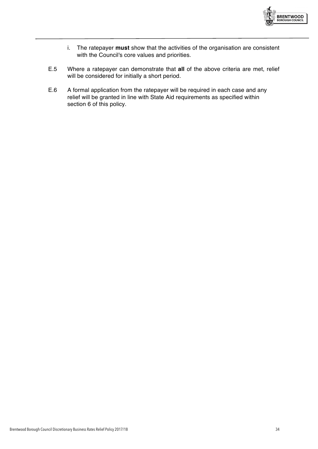

- i. The ratepayer **must** show that the activities of the organisation are consistent with the Council's core values and priorities.
- E.5 Where a ratepayer can demonstrate that **all** of the above criteria are met, relief will be considered for initially a short period.
- E.6 A formal application from the ratepayer will be required in each case and any relief will be granted in line with State Aid requirements as specified within section 6 of this policy.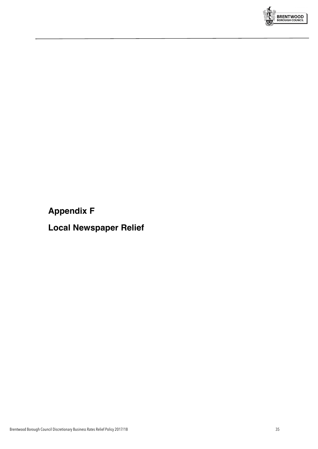

# **Appendix F**

**Local Newspaper Relief**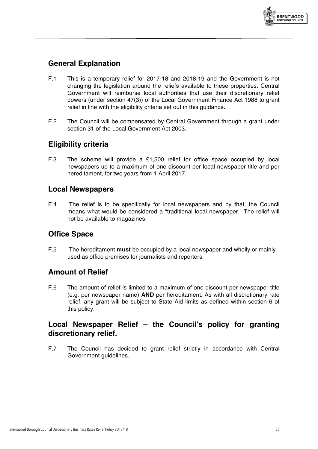

# **General Explanation**

- F.1 This is a temporary relief for 2017-18 and 2018-19 and the Government is not changing the legislation around the reliefs available to these properties. Central Government will reimburse local authorities that use their discretionary relief powers (under section 47(3)) of the Local Government Finance Act 1988 to grant relief in line with the eligibility criteria set out in this guidance.
- F.2 The Council will be compensated by Central Government through a grant under section 31 of the Local Government Act 2003.

# **Eligibility criteria**

F.3 The scheme will provide a £1,500 relief for office space occupied by local newspapers up to a maximum of one discount per local newspaper title and per hereditament, for two years from 1 April 2017.

### **Local Newspapers**

F.4 The relief is to be specifically for local newspapers and by that, the Council means what would be considered a "traditional local newspaper." The relief will not be available to magazines.

### **Office Space**

F.5 The hereditament **must** be occupied by a local newspaper and wholly or mainly used as office premises for journalists and reporters.

### **Amount of Relief**

F.6 The amount of relief is limited to a maximum of one discount per newspaper title (e.g. per newspaper name) **AND** per hereditament. As with all discretionary rate relief, any grant will be subject to State Aid limits as defined within section 6 of this policy.

# **Local Newspaper Relief – the Council's policy for granting discretionary relief.**

F.7 The Council has decided to grant relief strictly in accordance with Central Government guidelines.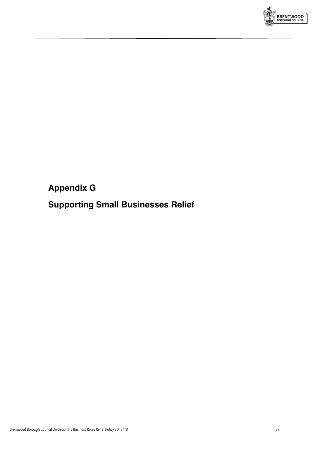

# **Appendix G**

# **Supporting Small Businesses Relief**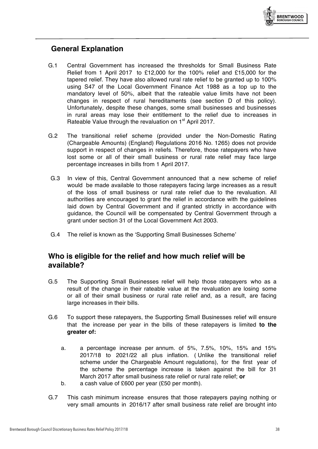

# **General Explanation**

- G.1 Central Government has increased the thresholds for Small Business Rate Relief from 1 April 2017 to £12,000 for the 100% relief and £15,000 for the tapered relief. They have also allowed rural rate relief to be granted up to 100% using S47 of the Local Government Finance Act 1988 as a top up to the mandatory level of 50%, albeit that the rateable value limits have not been changes in respect of rural hereditaments (see section D of this policy). Unfortunately, despite these changes, some small businesses and businesses in rural areas may lose their entitlement to the relief due to increases in Rateable Value through the revaluation on 1<sup>st</sup> April 2017.
- G.2 The transitional relief scheme (provided under the Non-Domestic Rating (Chargeable Amounts) (England) Regulations 2016 No. 1265) does not provide support in respect of changes in reliefs. Therefore, those ratepayers who have lost some or all of their small business or rural rate relief may face large percentage increases in bills from 1 April 2017.
- G.3 In view of this, Central Government announced that a new scheme of relief would be made available to those ratepayers facing large increases as a result of the loss of small business or rural rate relief due to the revaluation. All authorities are encouraged to grant the relief in accordance with the guidelines laid down by Central Government and if granted strictly in accordance with guidance, the Council will be compensated by Central Government through a grant under section 31 of the Local Government Act 2003.
- G.4 The relief is known as the 'Supporting Small Businesses Scheme'

### **Who is eligible for the relief and how much relief will be available?**

- G.5 The Supporting Small Businesses relief will help those ratepayers who as a result of the change in their rateable value at the revaluation are losing some or all of their small business or rural rate relief and, as a result, are facing large increases in their bills.
- G.6 To support these ratepayers, the Supporting Small Businesses relief will ensure that the increase per year in the bills of these ratepayers is limited **to the greater of:**
	- a. a percentage increase per annum. of 5%, 7.5%, 10%, 15% and 15% 2017/18 to 2021/22 all plus inflation. ( Unlike the transitional relief scheme under the Chargeable Amount regulations), for the first year of the scheme the percentage increase is taken against the bill for 31 March 2017 after small business rate relief or rural rate relief; **or**
	- b. a cash value of £600 per year (£50 per month).
- G.7 This cash minimum increase ensures that those ratepayers paying nothing or very small amounts in 2016/17 after small business rate relief are brought into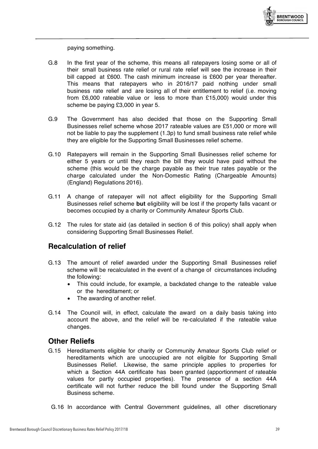

paying something.

- G.8 In the first year of the scheme, this means all ratepayers losing some or all of their small business rate relief or rural rate relief will see the increase in their bill capped at £600. The cash minimum increase is £600 per year thereafter. This means that ratepayers who in 2016/17 paid nothing under small business rate relief and are losing all of their entitlement to relief (i.e. moving from £6,000 rateable value or less to more than £15,000) would under this scheme be paying £3,000 in year 5.
- G.9 The Government has also decided that those on the Supporting Small Businesses relief scheme whose 2017 rateable values are £51,000 or more will not be liable to pay the supplement (1.3p) to fund small business rate relief while they are eligible for the Supporting Small Businesses relief scheme.
- G.10 Ratepayers will remain in the Supporting Small Businesses relief scheme for either 5 years or until they reach the bill they would have paid without the scheme (this would be the charge payable as their true rates payable or the charge calculated under the Non-Domestic Rating (Chargeable Amounts) (England) Regulations 2016).
- G.11 A change of ratepayer will not affect eligibility for the Supporting Small Businesses relief scheme **but** eligibility will be lost if the property falls vacant or becomes occupied by a charity or Community Amateur Sports Club.
- G.12 The rules for state aid (as detailed in section 6 of this policy) shall apply when considering Supporting Small Businesses Relief.

### **Recalculation of relief**

- G.13 The amount of relief awarded under the Supporting Small Businesses relief scheme will be recalculated in the event of a change of circumstances including the following:
	- This could include, for example, a backdated change to the rateable value or the hereditament; or
	- The awarding of another relief.
- G.14 The Council will, in effect, calculate the award on a daily basis taking into account the above, and the relief will be re-calculated if the rateable value changes.

#### **Other Reliefs**

- G.15 Hereditaments eligible for charity or Community Amateur Sports Club relief or hereditaments which are unoccupied are not eligible for Supporting Small Businesses Relief. Likewise, the same principle applies to properties for which a Section 44A certificate has been granted (apportionment of rateable values for partly occupied properties). The presence of a section 44A certificate will not further reduce the bill found under the Supporting Small Business scheme.
- G.16 In accordance with Central Government guidelines, all other discretionary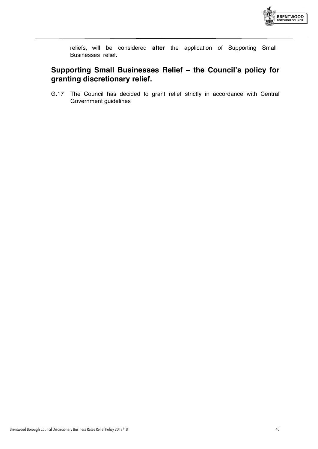

reliefs, will be considered **after** the application of Supporting Small Businesses relief.

# **Supporting Small Businesses Relief – the Council's policy for granting discretionary relief.**

G.17 The Council has decided to grant relief strictly in accordance with Central Government guidelines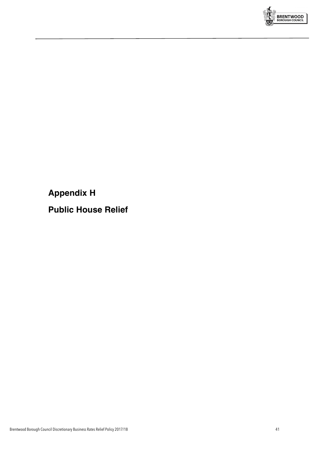

**Appendix H**

**Public House Relief**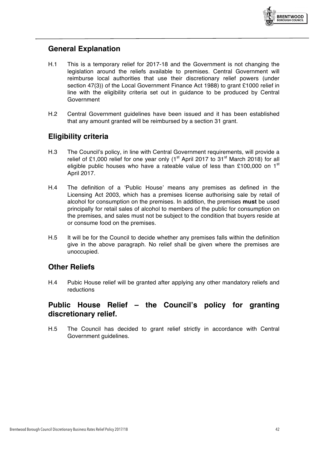

### **General Explanation**

- H.1 This is a temporary relief for 2017-18 and the Government is not changing the legislation around the reliefs available to premises. Central Government will reimburse local authorities that use their discretionary relief powers (under section 47(3)) of the Local Government Finance Act 1988) to grant £1000 relief in line with the eligibility criteria set out in guidance to be produced by Central Government
- H.2 Central Government guidelines have been issued and it has been established that any amount granted will be reimbursed by a section 31 grant.

### **Eligibility criteria**

- H.3 The Council's policy, in line with Central Government requirements, will provide a relief of £1,000 relief for one year only ( $1<sup>st</sup>$  April 2017 to 31<sup>st</sup> March 2018) for all eligible public houses who have a rateable value of less than £100,000 on  $1<sup>st</sup>$ April 2017.
- H.4 The definition of a 'Public House' means any premises as defined in the Licensing Act 2003, which has a premises license authorising sale by retail of alcohol for consumption on the premises. In addition, the premises **must** be used principally for retail sales of alcohol to members of the public for consumption on the premises, and sales must not be subject to the condition that buyers reside at or consume food on the premises.
- H.5 It will be for the Council to decide whether any premises falls within the definition give in the above paragraph. No relief shall be given where the premises are unoccupied.

### **Other Reliefs**

H.4 Pubic House relief will be granted after applying any other mandatory reliefs and reductions

### **Public House Relief – the Council's policy for granting discretionary relief.**

H.5 The Council has decided to grant relief strictly in accordance with Central Government guidelines.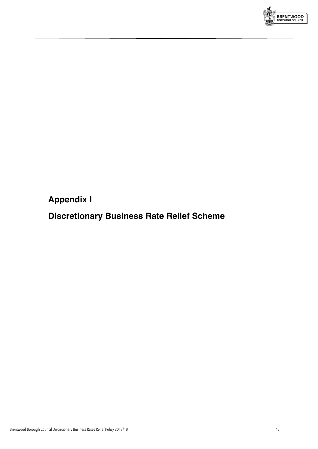

**Appendix I**

# **Discretionary Business Rate Relief Scheme**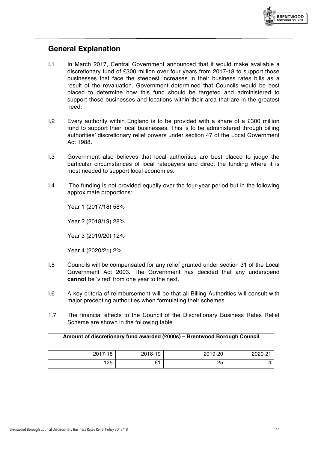

### **General Explanation**

- I.1 In March 2017, Central Government announced that it would make available a discretionary fund of £300 million over four years from 2017-18 to support those businesses that face the steepest increases in their business rates bills as a result of the revaluation. Government determined that Councils would be best placed to determine how this fund should be targeted and administered to support those businesses and locations within their area that are in the greatest need.
- I.2 Every authority within England is to be provided with a share of a £300 million fund to support their local businesses. This is to be administered through billing authorities' discretionary relief powers under section 47 of the Local Government Act 1988.
- I.3 Government also believes that local authorities are best placed to judge the particular circumstances of local ratepayers and direct the funding where it is most needed to support local economies.
- I.4 The funding is not provided equally over the four-year period but in the following approximate proportions:

Year 1 (2017/18) 58% Year 2 (2018/19) 28% Year 3 (2019/20) 12% Year 4 (2020/21) 2%

- I.5 Councils will be compensated for any relief granted under section 31 of the Local Government Act 2003. The Government has decided that any underspend **cannot** be 'vired' from one year to the next.
- I.6 A key criteria of reimbursement will be that all Billing Authorities will consult with major precepting authorities when formulating their schemes.
- 1.7 The financial effects to the Council of the Discretionary Business Rates Relief Scheme are shown in the following table

| Amount of discretionary fund awarded (£000s) - Brentwood Borough Council |         |         |         |  |
|--------------------------------------------------------------------------|---------|---------|---------|--|
| 2017-18                                                                  | 2018-19 | 2019-20 | 2020-21 |  |
| 125                                                                      | 61      | 25      |         |  |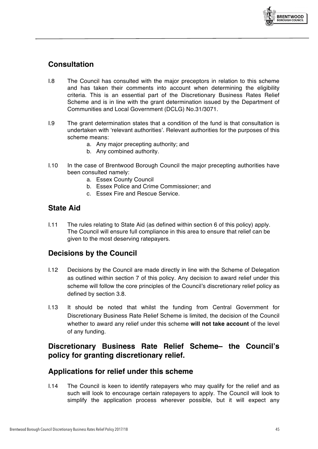

# **Consultation**

- I.8 The Council has consulted with the major preceptors in relation to this scheme and has taken their comments into account when determining the eligibility criteria. This is an essential part of the Discretionary Business Rates Relief Scheme and is in line with the grant determination issued by the Department of Communities and Local Government (DCLG) No.31/3071.
- I.9 The grant determination states that a condition of the fund is that consultation is undertaken with 'relevant authorities'. Relevant authorities for the purposes of this scheme means:
	- a. Any major precepting authority; and
	- b. Any combined authority.
- I.10 In the case of Brentwood Borough Council the major precepting authorities have been consulted namely:
	- a. Essex County Council
	- b. Essex Police and Crime Commissioner; and
	- c. Essex Fire and Rescue Service.

# **State Aid**

I.11 The rules relating to State Aid (as defined within section 6 of this policy) apply. The Council will ensure full compliance in this area to ensure that relief can be given to the most deserving ratepayers.

# **Decisions by the Council**

- I.12 Decisions by the Council are made directly in line with the Scheme of Delegation as outlined within section 7 of this policy. Any decision to award relief under this scheme will follow the core principles of the Council's discretionary relief policy as defined by section 3.8.
- I.13 It should be noted that whilst the funding from Central Government for Discretionary Business Rate Relief Scheme is limited, the decision of the Council whether to award any relief under this scheme **will not take account** of the level of any funding.

# **Discretionary Business Rate Relief Scheme– the Council's policy for granting discretionary relief.**

### **Applications for relief under this scheme**

I.14 The Council is keen to identify ratepayers who may qualify for the relief and as such will look to encourage certain ratepayers to apply. The Council will look to simplify the application process wherever possible, but it will expect any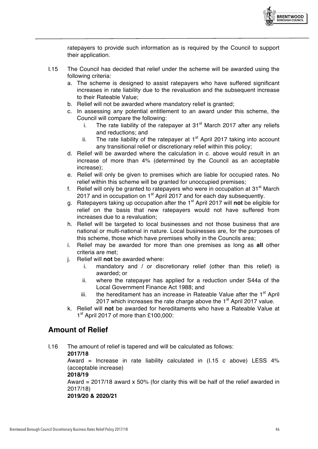

ratepayers to provide such information as is required by the Council to support their application.

- I.15 The Council has decided that relief under the scheme will be awarded using the following criteria:
	- a. The scheme is designed to assist ratepayers who have suffered significant increases in rate liability due to the revaluation and the subsequent increase to their Rateable Value;
	- b. Relief will not be awarded where mandatory relief is granted;
	- c. In assessing any potential entitlement to an award under this scheme, the Council will compare the following:
		- i. The rate liability of the ratepayer at  $31<sup>st</sup>$  March 2017 after any reliefs and reductions; and
		- ii. The rate liability of the ratepayer at  $1<sup>st</sup>$  April 2017 taking into account any transitional relief or discretionary relief within this policy;
	- d. Relief will be awarded where the calculation in c. above would result in an increase of more than 4% (determined by the Council as an acceptable increase);
	- e. Relief will only be given to premises which are liable for occupied rates. No relief within this scheme will be granted for unoccupied premises;
	- f. Relief will only be granted to ratepayers who were in occupation at  $31<sup>st</sup>$  March 2017 and in occupation on 1<sup>st</sup> April 2017 and for each day subsequently.
	- g. Ratepayers taking up occupation after the 1st April 2017 will **not** be eligible for relief on the basis that new ratepayers would not have suffered from increases due to a revaluation;
	- h. Relief will be targeted to local businesses and not those business that are national or multi-national in nature. Local businesses are, for the purposes of this scheme, those which have premises wholly in the Councils area;
	- i. Relief may be awarded for more than one premises as long as **all** other criteria are met;
	- j. Relief will **not** be awarded where:
		- i. mandatory and / or discretionary relief (other than this relief) is awarded; or
		- ii. where the ratepayer has applied for a reduction under S44a of the Local Government Finance Act 1988; and
		- iii. the hereditament has an increase in Rateable Value after the  $1<sup>st</sup>$  April 2017 which increases the rate charge above the  $1<sup>st</sup>$  April 2017 value.
	- k. Relief will **not** be awarded for hereditaments who have a Rateable Value at 1<sup>st</sup> April 2017 of more than £100,000:

### **Amount of Relief**

I.16 The amount of relief is tapered and will be calculated as follows:

#### **2017/18**

Award = Increase in rate liability calculated in (I.15 c above) LESS 4% (acceptable increase)

#### **2018/19**

Award =  $2017/18$  award x 50% (for clarity this will be half of the relief awarded in 2017/18)

**2019/20 & 2020/21**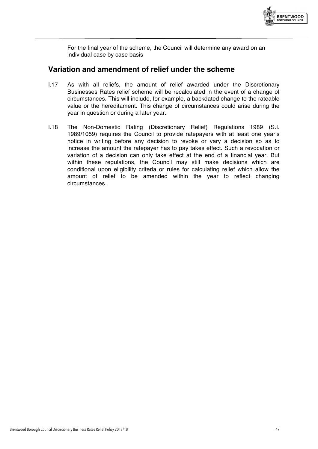

For the final year of the scheme, the Council will determine any award on an individual case by case basis

#### **Variation and amendment of relief under the scheme**

- I.17 As with all reliefs, the amount of relief awarded under the Discretionary Businesses Rates relief scheme will be recalculated in the event of a change of circumstances. This will include, for example, a backdated change to the rateable value or the hereditament. This change of circumstances could arise during the year in question or during a later year.
- I.18 The Non-Domestic Rating (Discretionary Relief) Regulations 1989 (S.I. 1989/1059) requires the Council to provide ratepayers with at least one year's notice in writing before any decision to revoke or vary a decision so as to increase the amount the ratepayer has to pay takes effect. Such a revocation or variation of a decision can only take effect at the end of a financial year. But within these regulations, the Council may still make decisions which are conditional upon eligibility criteria or rules for calculating relief which allow the amount of relief to be amended within the year to reflect changing circumstances.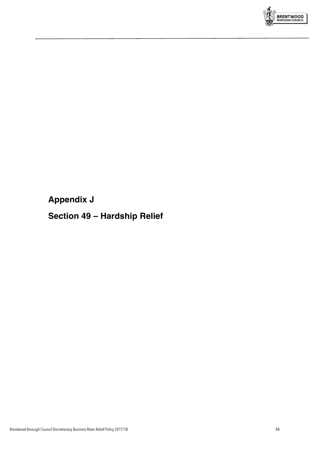

**Appendix J**

# **Section 49 – Hardship Relief**